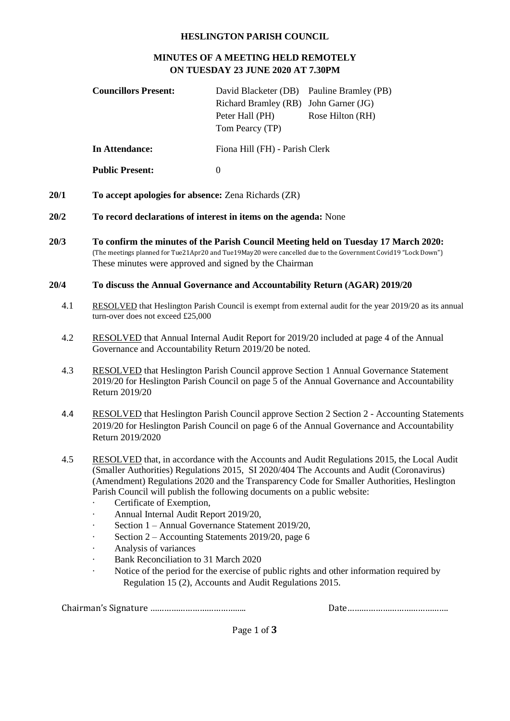## **HESLINGTON PARISH COUNCIL**

## **MINUTES OF A MEETING HELD REMOTELY ON TUESDAY 23 JUNE 2020 AT 7.30PM**

|      | <b>Councillors Present:</b>                                                                                                                                                                                                                                                                                                                                                                                                                                                                                                                                                                                                                                                                                                                                                       | David Blacketer (DB)<br>Richard Bramley (RB) John Garner (JG)<br>Peter Hall (PH)<br>Tom Pearcy (TP) | Pauline Bramley (PB)<br>Rose Hilton (RH) |
|------|-----------------------------------------------------------------------------------------------------------------------------------------------------------------------------------------------------------------------------------------------------------------------------------------------------------------------------------------------------------------------------------------------------------------------------------------------------------------------------------------------------------------------------------------------------------------------------------------------------------------------------------------------------------------------------------------------------------------------------------------------------------------------------------|-----------------------------------------------------------------------------------------------------|------------------------------------------|
|      | <b>In Attendance:</b>                                                                                                                                                                                                                                                                                                                                                                                                                                                                                                                                                                                                                                                                                                                                                             | Fiona Hill (FH) - Parish Clerk                                                                      |                                          |
|      | <b>Public Present:</b>                                                                                                                                                                                                                                                                                                                                                                                                                                                                                                                                                                                                                                                                                                                                                            | $\boldsymbol{0}$                                                                                    |                                          |
| 20/1 | To accept apologies for absence: Zena Richards (ZR)                                                                                                                                                                                                                                                                                                                                                                                                                                                                                                                                                                                                                                                                                                                               |                                                                                                     |                                          |
| 20/2 | To record declarations of interest in items on the agenda: None                                                                                                                                                                                                                                                                                                                                                                                                                                                                                                                                                                                                                                                                                                                   |                                                                                                     |                                          |
| 20/3 | To confirm the minutes of the Parish Council Meeting held on Tuesday 17 March 2020:<br>(The meetings planned for Tue21Apr20 and Tue19May20 were cancelled due to the Government Covid19 "Lock Down")<br>These minutes were approved and signed by the Chairman                                                                                                                                                                                                                                                                                                                                                                                                                                                                                                                    |                                                                                                     |                                          |
| 20/4 | To discuss the Annual Governance and Accountability Return (AGAR) 2019/20                                                                                                                                                                                                                                                                                                                                                                                                                                                                                                                                                                                                                                                                                                         |                                                                                                     |                                          |
| 4.1  | RESOLVED that Heslington Parish Council is exempt from external audit for the year 2019/20 as its annual<br>turn-over does not exceed £25,000                                                                                                                                                                                                                                                                                                                                                                                                                                                                                                                                                                                                                                     |                                                                                                     |                                          |
| 4.2  | RESOLVED that Annual Internal Audit Report for 2019/20 included at page 4 of the Annual<br>Governance and Accountability Return 2019/20 be noted.                                                                                                                                                                                                                                                                                                                                                                                                                                                                                                                                                                                                                                 |                                                                                                     |                                          |
| 4.3  | <b>RESOLVED</b> that Heslington Parish Council approve Section 1 Annual Governance Statement<br>2019/20 for Heslington Parish Council on page 5 of the Annual Governance and Accountability<br>Return 2019/20                                                                                                                                                                                                                                                                                                                                                                                                                                                                                                                                                                     |                                                                                                     |                                          |
| 4.4  | <b>RESOLVED</b> that Heslington Parish Council approve Section 2 Section 2 - Accounting Statements<br>2019/20 for Heslington Parish Council on page 6 of the Annual Governance and Accountability<br>Return 2019/2020                                                                                                                                                                                                                                                                                                                                                                                                                                                                                                                                                             |                                                                                                     |                                          |
| 4.5  | RESOLVED that, in accordance with the Accounts and Audit Regulations 2015, the Local Audit<br>(Smaller Authorities) Regulations 2015, SI 2020/404 The Accounts and Audit (Coronavirus)<br>(Amendment) Regulations 2020 and the Transparency Code for Smaller Authorities, Heslington<br>Parish Council will publish the following documents on a public website:<br>Certificate of Exemption,<br>Annual Internal Audit Report 2019/20,<br>Section 1 - Annual Governance Statement 2019/20,<br>Section 2 - Accounting Statements 2019/20, page 6<br>۰<br>Analysis of variances<br>۰<br>Bank Reconciliation to 31 March 2020<br>Notice of the period for the exercise of public rights and other information required by<br>Regulation 15 (2), Accounts and Audit Regulations 2015. |                                                                                                     |                                          |

Chairman's Signature ………………………………….. Date…………………………………….

Page 1 of **3**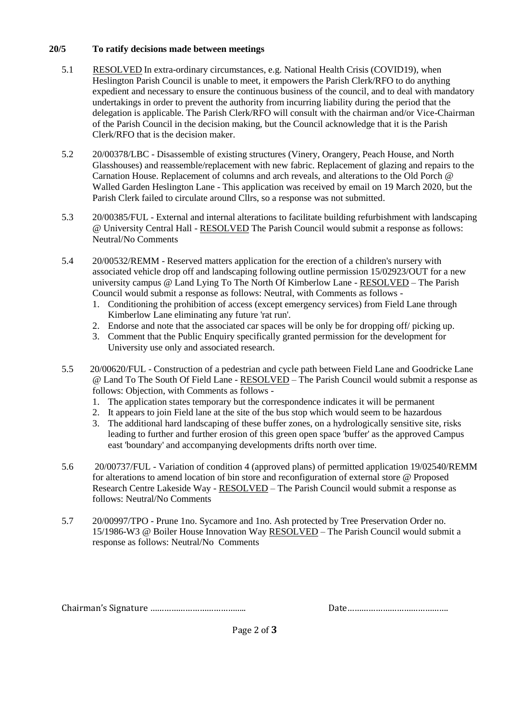## **20/5 To ratify decisions made between meetings**

- 5.1 RESOLVED In extra-ordinary circumstances, e.g. National Health Crisis (COVID19), when Heslington Parish Council is unable to meet, it empowers the Parish Clerk/RFO to do anything expedient and necessary to ensure the continuous business of the council, and to deal with mandatory undertakings in order to prevent the authority from incurring liability during the period that the delegation is applicable. The Parish Clerk/RFO will consult with the chairman and/or Vice-Chairman of the Parish Council in the decision making, but the Council acknowledge that it is the Parish Clerk/RFO that is the decision maker.
- 5.2 20/00378/LBC Disassemble of existing structures (Vinery, Orangery, Peach House, and North Glasshouses) and reassemble/replacement with new fabric. Replacement of glazing and repairs to the Carnation House. Replacement of columns and arch reveals, and alterations to the Old Porch @ Walled Garden Heslington Lane - This application was received by email on 19 March 2020, but the Parish Clerk failed to circulate around Cllrs, so a response was not submitted.
- 5.3 20/00385/FUL External and internal alterations to facilitate building refurbishment with landscaping @ University Central Hall - RESOLVED The Parish Council would submit a response as follows: Neutral/No Comments
- 5.4 20/00532/REMM Reserved matters application for the erection of a children's nursery with associated vehicle drop off and landscaping following outline permission 15/02923/OUT for a new university campus @ Land Lying To The North Of Kimberlow Lane - RESOLVED – The Parish Council would submit a response as follows: Neutral, with Comments as follows -
	- 1. Conditioning the prohibition of access (except emergency services) from Field Lane through Kimberlow Lane eliminating any future 'rat run'.
	- 2. Endorse and note that the associated car spaces will be only be for dropping off/ picking up.
	- 3. Comment that the Public Enquiry specifically granted permission for the development for University use only and associated research.
- 5.5 20/00620/FUL Construction of a pedestrian and cycle path between Field Lane and Goodricke Lane @ Land To The South Of Field Lane - RESOLVED – The Parish Council would submit a response as follows: Objection, with Comments as follows -
	- 1. The application states temporary but the correspondence indicates it will be permanent
	- 2. It appears to join Field lane at the site of the bus stop which would seem to be hazardous
	- 3. The additional hard landscaping of these buffer zones, on a hydrologically sensitive site, risks leading to further and further erosion of this green open space 'buffer' as the approved Campus east 'boundary' and accompanying developments drifts north over time.
- 5.6 20/00737/FUL Variation of condition 4 (approved plans) of permitted application 19/02540/REMM for alterations to amend location of bin store and reconfiguration of external store @ Proposed Research Centre Lakeside Way - RESOLVED – The Parish Council would submit a response as follows: Neutral/No Comments
- 5.7 20/00997/TPO Prune 1no. Sycamore and 1no. Ash protected by Tree Preservation Order no. 15/1986-W3 @ Boiler House Innovation Way RESOLVED – The Parish Council would submit a response as follows: Neutral/No Comments

Chairman's Signature ………………………………….. Date…………………………………….